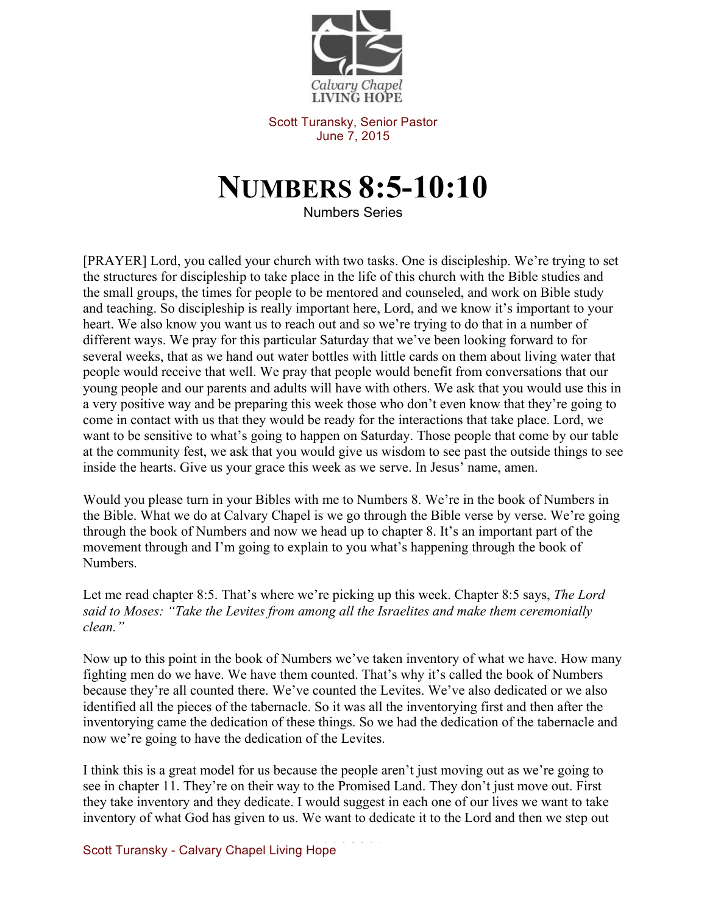

Scott Turansky, Senior Pastor June 7, 2015

## **NUMBERS 8:5-10:10**

Numbers Series

[PRAYER] Lord, you called your church with two tasks. One is discipleship. We're trying to set the structures for discipleship to take place in the life of this church with the Bible studies and the small groups, the times for people to be mentored and counseled, and work on Bible study and teaching. So discipleship is really important here, Lord, and we know it's important to your heart. We also know you want us to reach out and so we're trying to do that in a number of different ways. We pray for this particular Saturday that we've been looking forward to for several weeks, that as we hand out water bottles with little cards on them about living water that people would receive that well. We pray that people would benefit from conversations that our young people and our parents and adults will have with others. We ask that you would use this in a very positive way and be preparing this week those who don't even know that they're going to come in contact with us that they would be ready for the interactions that take place. Lord, we want to be sensitive to what's going to happen on Saturday. Those people that come by our table at the community fest, we ask that you would give us wisdom to see past the outside things to see inside the hearts. Give us your grace this week as we serve. In Jesus' name, amen.

Would you please turn in your Bibles with me to Numbers 8. We're in the book of Numbers in the Bible. What we do at Calvary Chapel is we go through the Bible verse by verse. We're going through the book of Numbers and now we head up to chapter 8. It's an important part of the movement through and I'm going to explain to you what's happening through the book of Numbers.

Let me read chapter 8:5. That's where we're picking up this week. Chapter 8:5 says, *The Lord said to Moses: "Take the Levites from among all the Israelites and make them ceremonially clean."* 

Now up to this point in the book of Numbers we've taken inventory of what we have. How many fighting men do we have. We have them counted. That's why it's called the book of Numbers because they're all counted there. We've counted the Levites. We've also dedicated or we also identified all the pieces of the tabernacle. So it was all the inventorying first and then after the inventorying came the dedication of these things. So we had the dedication of the tabernacle and now we're going to have the dedication of the Levites.

I think this is a great model for us because the people aren't just moving out as we're going to see in chapter 11. They're on their way to the Promised Land. They don't just move out. First they take inventory and they dedicate. I would suggest in each one of our lives we want to take inventory of what God has given to us. We want to dedicate it to the Lord and then we step out

Scott Turansky - Calvary Chapel Living Hope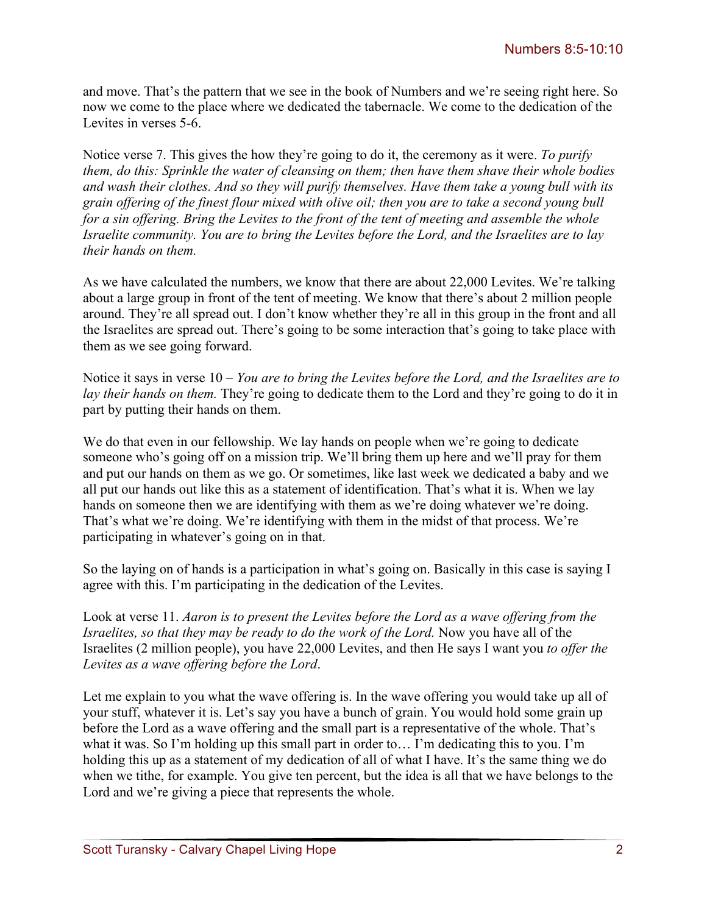and move. That's the pattern that we see in the book of Numbers and we're seeing right here. So now we come to the place where we dedicated the tabernacle. We come to the dedication of the Levites in verses 5-6.

Notice verse 7. This gives the how they're going to do it, the ceremony as it were. *To purify them, do this: Sprinkle the water of cleansing on them; then have them shave their whole bodies and wash their clothes. And so they will purify themselves. Have them take a young bull with its grain offering of the finest flour mixed with olive oil; then you are to take a second young bull for a sin offering. Bring the Levites to the front of the tent of meeting and assemble the whole Israelite community. You are to bring the Levites before the Lord, and the Israelites are to lay their hands on them.* 

As we have calculated the numbers, we know that there are about 22,000 Levites. We're talking about a large group in front of the tent of meeting. We know that there's about 2 million people around. They're all spread out. I don't know whether they're all in this group in the front and all the Israelites are spread out. There's going to be some interaction that's going to take place with them as we see going forward.

Notice it says in verse 10 – *You are to bring the Levites before the Lord, and the Israelites are to lay their hands on them.* They're going to dedicate them to the Lord and they're going to do it in part by putting their hands on them.

We do that even in our fellowship. We lay hands on people when we're going to dedicate someone who's going off on a mission trip. We'll bring them up here and we'll pray for them and put our hands on them as we go. Or sometimes, like last week we dedicated a baby and we all put our hands out like this as a statement of identification. That's what it is. When we lay hands on someone then we are identifying with them as we're doing whatever we're doing. That's what we're doing. We're identifying with them in the midst of that process. We're participating in whatever's going on in that.

So the laying on of hands is a participation in what's going on. Basically in this case is saying I agree with this. I'm participating in the dedication of the Levites.

Look at verse 11. *Aaron is to present the Levites before the Lord as a wave offering from the Israelites, so that they may be ready to do the work of the Lord.* Now you have all of the Israelites (2 million people), you have 22,000 Levites, and then He says I want you *to offer the Levites as a wave offering before the Lord*.

Let me explain to you what the wave offering is. In the wave offering you would take up all of your stuff, whatever it is. Let's say you have a bunch of grain. You would hold some grain up before the Lord as a wave offering and the small part is a representative of the whole. That's what it was. So I'm holding up this small part in order to… I'm dedicating this to you. I'm holding this up as a statement of my dedication of all of what I have. It's the same thing we do when we tithe, for example. You give ten percent, but the idea is all that we have belongs to the Lord and we're giving a piece that represents the whole.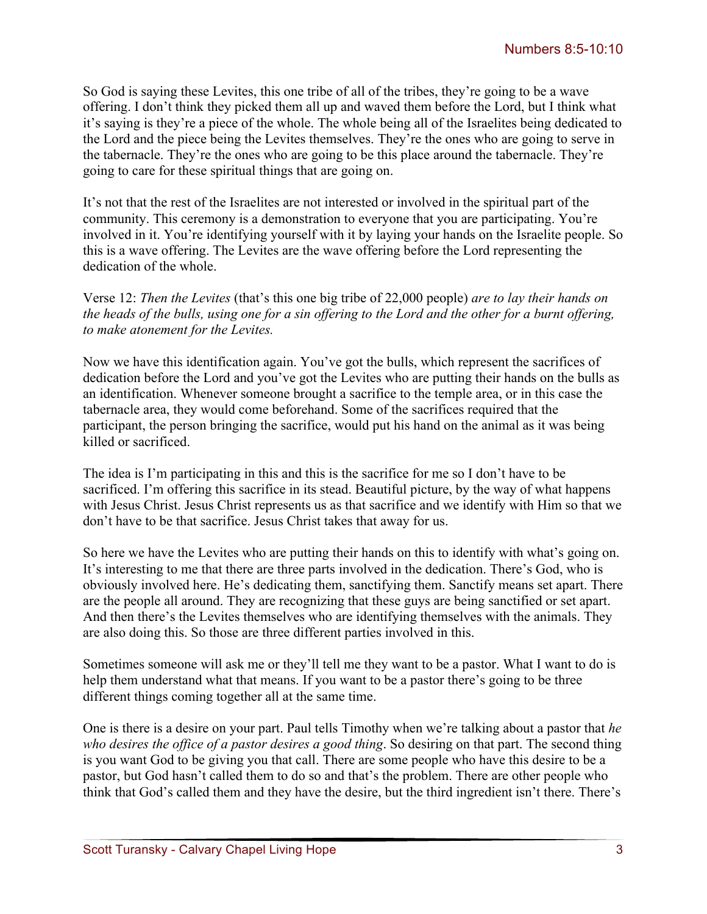So God is saying these Levites, this one tribe of all of the tribes, they're going to be a wave offering. I don't think they picked them all up and waved them before the Lord, but I think what it's saying is they're a piece of the whole. The whole being all of the Israelites being dedicated to the Lord and the piece being the Levites themselves. They're the ones who are going to serve in the tabernacle. They're the ones who are going to be this place around the tabernacle. They're going to care for these spiritual things that are going on.

It's not that the rest of the Israelites are not interested or involved in the spiritual part of the community. This ceremony is a demonstration to everyone that you are participating. You're involved in it. You're identifying yourself with it by laying your hands on the Israelite people. So this is a wave offering. The Levites are the wave offering before the Lord representing the dedication of the whole.

Verse 12: *Then the Levites* (that's this one big tribe of 22,000 people) *are to lay their hands on the heads of the bulls, using one for a sin offering to the Lord and the other for a burnt offering, to make atonement for the Levites.* 

Now we have this identification again. You've got the bulls, which represent the sacrifices of dedication before the Lord and you've got the Levites who are putting their hands on the bulls as an identification. Whenever someone brought a sacrifice to the temple area, or in this case the tabernacle area, they would come beforehand. Some of the sacrifices required that the participant, the person bringing the sacrifice, would put his hand on the animal as it was being killed or sacrificed.

The idea is I'm participating in this and this is the sacrifice for me so I don't have to be sacrificed. I'm offering this sacrifice in its stead. Beautiful picture, by the way of what happens with Jesus Christ. Jesus Christ represents us as that sacrifice and we identify with Him so that we don't have to be that sacrifice. Jesus Christ takes that away for us.

So here we have the Levites who are putting their hands on this to identify with what's going on. It's interesting to me that there are three parts involved in the dedication. There's God, who is obviously involved here. He's dedicating them, sanctifying them. Sanctify means set apart. There are the people all around. They are recognizing that these guys are being sanctified or set apart. And then there's the Levites themselves who are identifying themselves with the animals. They are also doing this. So those are three different parties involved in this.

Sometimes someone will ask me or they'll tell me they want to be a pastor. What I want to do is help them understand what that means. If you want to be a pastor there's going to be three different things coming together all at the same time.

One is there is a desire on your part. Paul tells Timothy when we're talking about a pastor that *he who desires the office of a pastor desires a good thing*. So desiring on that part. The second thing is you want God to be giving you that call. There are some people who have this desire to be a pastor, but God hasn't called them to do so and that's the problem. There are other people who think that God's called them and they have the desire, but the third ingredient isn't there. There's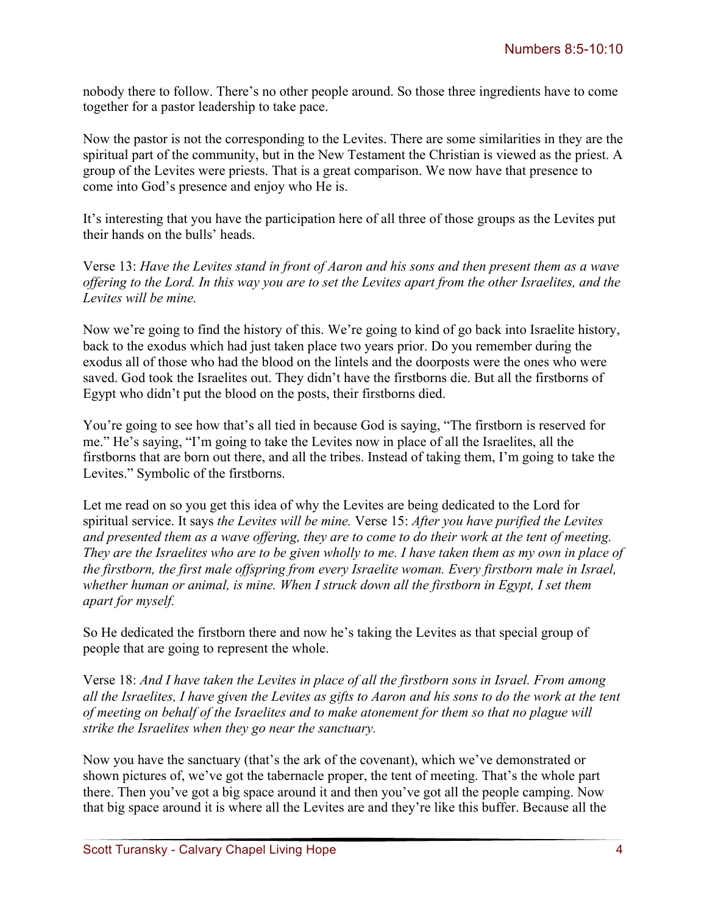nobody there to follow. There's no other people around. So those three ingredients have to come together for a pastor leadership to take pace.

Now the pastor is not the corresponding to the Levites. There are some similarities in they are the spiritual part of the community, but in the New Testament the Christian is viewed as the priest. A group of the Levites were priests. That is a great comparison. We now have that presence to come into God's presence and enjoy who He is.

It's interesting that you have the participation here of all three of those groups as the Levites put their hands on the bulls' heads.

Verse 13: *Have the Levites stand in front of Aaron and his sons and then present them as a wave offering to the Lord. In this way you are to set the Levites apart from the other Israelites, and the Levites will be mine.*

Now we're going to find the history of this. We're going to kind of go back into Israelite history, back to the exodus which had just taken place two years prior. Do you remember during the exodus all of those who had the blood on the lintels and the doorposts were the ones who were saved. God took the Israelites out. They didn't have the firstborns die. But all the firstborns of Egypt who didn't put the blood on the posts, their firstborns died.

You're going to see how that's all tied in because God is saying, "The firstborn is reserved for me." He's saying, "I'm going to take the Levites now in place of all the Israelites, all the firstborns that are born out there, and all the tribes. Instead of taking them, I'm going to take the Levites." Symbolic of the firstborns.

Let me read on so you get this idea of why the Levites are being dedicated to the Lord for spiritual service. It says *the Levites will be mine.* Verse 15: *After you have purified the Levites and presented them as a wave offering, they are to come to do their work at the tent of meeting. They are the Israelites who are to be given wholly to me. I have taken them as my own in place of the firstborn, the first male offspring from every Israelite woman. Every firstborn male in Israel, whether human or animal, is mine. When I struck down all the firstborn in Egypt, I set them apart for myself.* 

So He dedicated the firstborn there and now he's taking the Levites as that special group of people that are going to represent the whole.

Verse 18: *And I have taken the Levites in place of all the firstborn sons in Israel. From among all the Israelites, I have given the Levites as gifts to Aaron and his sons to do the work at the tent of meeting on behalf of the Israelites and to make atonement for them so that no plague will strike the Israelites when they go near the sanctuary.*

Now you have the sanctuary (that's the ark of the covenant), which we've demonstrated or shown pictures of, we've got the tabernacle proper, the tent of meeting. That's the whole part there. Then you've got a big space around it and then you've got all the people camping. Now that big space around it is where all the Levites are and they're like this buffer. Because all the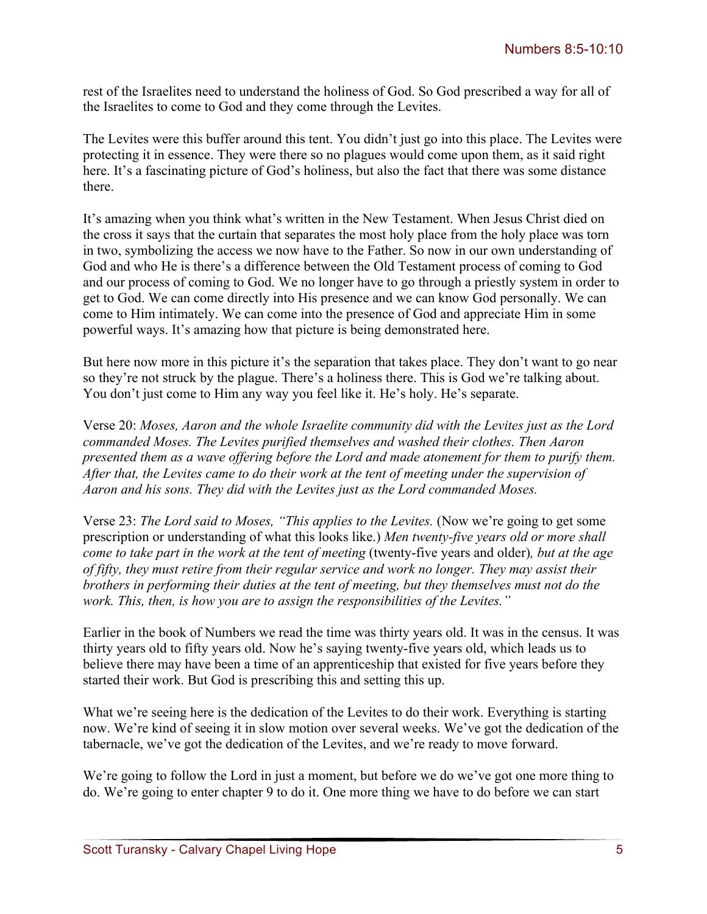rest of the Israelites need to understand the holiness of God. So God prescribed a way for all of the Israelites to come to God and they come through the Levites.

The Levites were this buffer around this tent. You didn't just go into this place. The Levites were protecting it in essence. They were there so no plagues would come upon them, as it said right here. It's a fascinating picture of God's holiness, but also the fact that there was some distance there.

It's amazing when you think what's written in the New Testament. When Jesus Christ died on the cross it says that the curtain that separates the most holy place from the holy place was torn in two, symbolizing the access we now have to the Father. So now in our own understanding of God and who He is there's a difference between the Old Testament process of coming to God and our process of coming to God. We no longer have to go through a priestly system in order to get to God. We can come directly into His presence and we can know God personally. We can come to Him intimately. We can come into the presence of God and appreciate Him in some powerful ways. It's amazing how that picture is being demonstrated here.

But here now more in this picture it's the separation that takes place. They don't want to go near so they're not struck by the plague. There's a holiness there. This is God we're talking about. You don't just come to Him any way you feel like it. He's holy. He's separate.

Verse 20: *Moses, Aaron and the whole Israelite community did with the Levites just as the Lord commanded Moses. The Levites purified themselves and washed their clothes. Then Aaron presented them as a wave offering before the Lord and made atonement for them to purify them. After that, the Levites came to do their work at the tent of meeting under the supervision of Aaron and his sons. They did with the Levites just as the Lord commanded Moses.*

Verse 23: *The Lord said to Moses, "This applies to the Levites.* (Now we're going to get some prescription or understanding of what this looks like.) *Men twenty-five years old or more shall come to take part in the work at the tent of meeting* (twenty-five years and older)*, but at the age of fifty, they must retire from their regular service and work no longer. They may assist their brothers in performing their duties at the tent of meeting, but they themselves must not do the work. This, then, is how you are to assign the responsibilities of the Levites."*

Earlier in the book of Numbers we read the time was thirty years old. It was in the census. It was thirty years old to fifty years old. Now he's saying twenty-five years old, which leads us to believe there may have been a time of an apprenticeship that existed for five years before they started their work. But God is prescribing this and setting this up.

What we're seeing here is the dedication of the Levites to do their work. Everything is starting now. We're kind of seeing it in slow motion over several weeks. We've got the dedication of the tabernacle, we've got the dedication of the Levites, and we're ready to move forward.

We're going to follow the Lord in just a moment, but before we do we've got one more thing to do. We're going to enter chapter 9 to do it. One more thing we have to do before we can start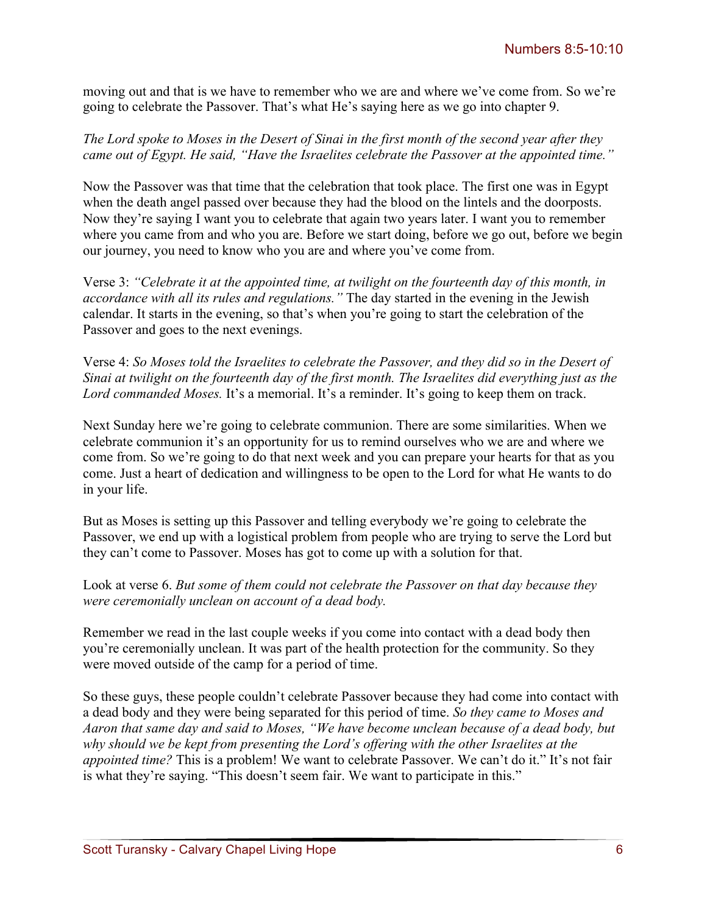moving out and that is we have to remember who we are and where we've come from. So we're going to celebrate the Passover. That's what He's saying here as we go into chapter 9.

*The Lord spoke to Moses in the Desert of Sinai in the first month of the second year after they came out of Egypt. He said, "Have the Israelites celebrate the Passover at the appointed time."* 

Now the Passover was that time that the celebration that took place. The first one was in Egypt when the death angel passed over because they had the blood on the lintels and the doorposts. Now they're saying I want you to celebrate that again two years later. I want you to remember where you came from and who you are. Before we start doing, before we go out, before we begin our journey, you need to know who you are and where you've come from.

Verse 3: *"Celebrate it at the appointed time, at twilight on the fourteenth day of this month, in accordance with all its rules and regulations."* The day started in the evening in the Jewish calendar. It starts in the evening, so that's when you're going to start the celebration of the Passover and goes to the next evenings.

Verse 4: *So Moses told the Israelites to celebrate the Passover, and they did so in the Desert of Sinai at twilight on the fourteenth day of the first month. The Israelites did everything just as the Lord commanded Moses.* It's a memorial. It's a reminder. It's going to keep them on track.

Next Sunday here we're going to celebrate communion. There are some similarities. When we celebrate communion it's an opportunity for us to remind ourselves who we are and where we come from. So we're going to do that next week and you can prepare your hearts for that as you come. Just a heart of dedication and willingness to be open to the Lord for what He wants to do in your life.

But as Moses is setting up this Passover and telling everybody we're going to celebrate the Passover, we end up with a logistical problem from people who are trying to serve the Lord but they can't come to Passover. Moses has got to come up with a solution for that.

Look at verse 6. *But some of them could not celebrate the Passover on that day because they were ceremonially unclean on account of a dead body.* 

Remember we read in the last couple weeks if you come into contact with a dead body then you're ceremonially unclean. It was part of the health protection for the community. So they were moved outside of the camp for a period of time.

So these guys, these people couldn't celebrate Passover because they had come into contact with a dead body and they were being separated for this period of time. *So they came to Moses and Aaron that same day and said to Moses, "We have become unclean because of a dead body, but why should we be kept from presenting the Lord's offering with the other Israelites at the appointed time?* This is a problem! We want to celebrate Passover. We can't do it." It's not fair is what they're saying. "This doesn't seem fair. We want to participate in this."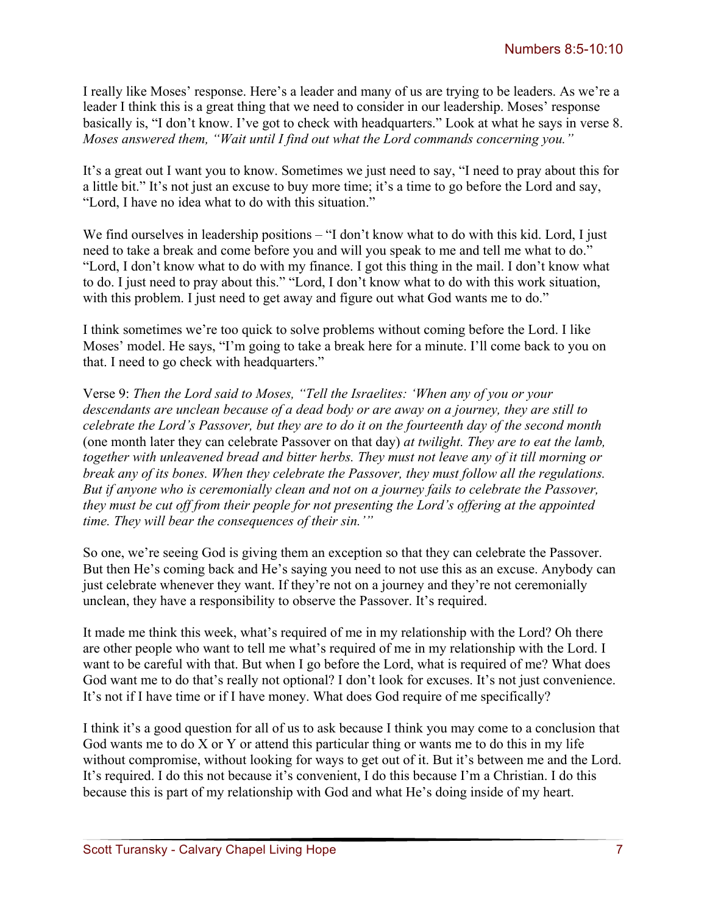I really like Moses' response. Here's a leader and many of us are trying to be leaders. As we're a leader I think this is a great thing that we need to consider in our leadership. Moses' response basically is, "I don't know. I've got to check with headquarters." Look at what he says in verse 8. *Moses answered them, "Wait until I find out what the Lord commands concerning you."*

It's a great out I want you to know. Sometimes we just need to say, "I need to pray about this for a little bit." It's not just an excuse to buy more time; it's a time to go before the Lord and say, "Lord, I have no idea what to do with this situation."

We find ourselves in leadership positions – "I don't know what to do with this kid. Lord, I just need to take a break and come before you and will you speak to me and tell me what to do." "Lord, I don't know what to do with my finance. I got this thing in the mail. I don't know what to do. I just need to pray about this." "Lord, I don't know what to do with this work situation, with this problem. I just need to get away and figure out what God wants me to do."

I think sometimes we're too quick to solve problems without coming before the Lord. I like Moses' model. He says, "I'm going to take a break here for a minute. I'll come back to you on that. I need to go check with headquarters."

Verse 9: *Then the Lord said to Moses, "Tell the Israelites: 'When any of you or your descendants are unclean because of a dead body or are away on a journey, they are still to celebrate the Lord's Passover, but they are to do it on the fourteenth day of the second month* (one month later they can celebrate Passover on that day) *at twilight. They are to eat the lamb, together with unleavened bread and bitter herbs. They must not leave any of it till morning or break any of its bones. When they celebrate the Passover, they must follow all the regulations. But if anyone who is ceremonially clean and not on a journey fails to celebrate the Passover, they must be cut off from their people for not presenting the Lord's offering at the appointed time. They will bear the consequences of their sin.'"*

So one, we're seeing God is giving them an exception so that they can celebrate the Passover. But then He's coming back and He's saying you need to not use this as an excuse. Anybody can just celebrate whenever they want. If they're not on a journey and they're not ceremonially unclean, they have a responsibility to observe the Passover. It's required.

It made me think this week, what's required of me in my relationship with the Lord? Oh there are other people who want to tell me what's required of me in my relationship with the Lord. I want to be careful with that. But when I go before the Lord, what is required of me? What does God want me to do that's really not optional? I don't look for excuses. It's not just convenience. It's not if I have time or if I have money. What does God require of me specifically?

I think it's a good question for all of us to ask because I think you may come to a conclusion that God wants me to do X or Y or attend this particular thing or wants me to do this in my life without compromise, without looking for ways to get out of it. But it's between me and the Lord. It's required. I do this not because it's convenient, I do this because I'm a Christian. I do this because this is part of my relationship with God and what He's doing inside of my heart.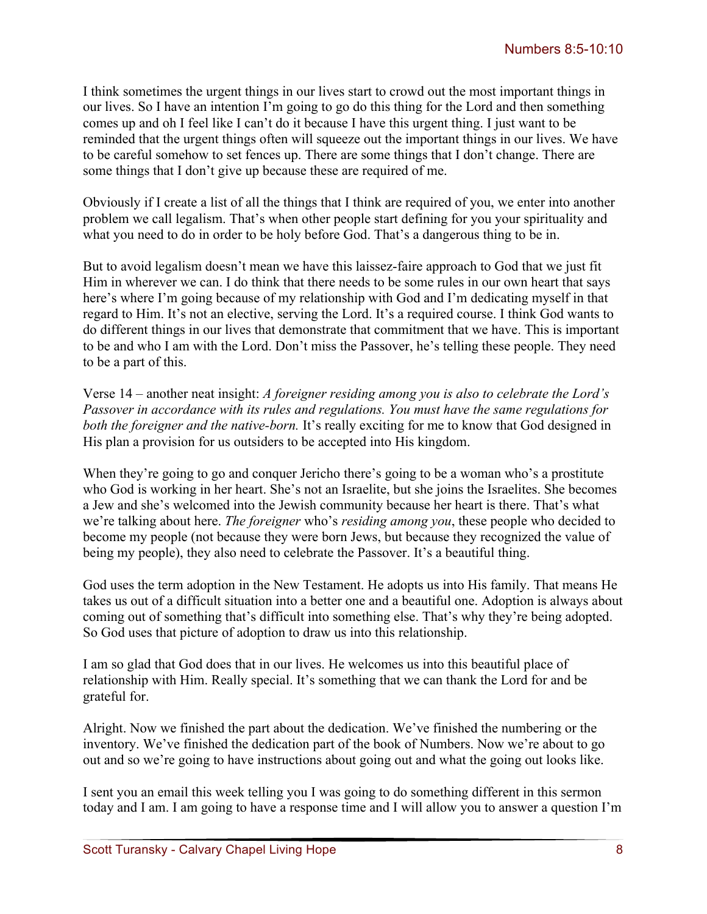I think sometimes the urgent things in our lives start to crowd out the most important things in our lives. So I have an intention I'm going to go do this thing for the Lord and then something comes up and oh I feel like I can't do it because I have this urgent thing. I just want to be reminded that the urgent things often will squeeze out the important things in our lives. We have to be careful somehow to set fences up. There are some things that I don't change. There are some things that I don't give up because these are required of me.

Obviously if I create a list of all the things that I think are required of you, we enter into another problem we call legalism. That's when other people start defining for you your spirituality and what you need to do in order to be holy before God. That's a dangerous thing to be in.

But to avoid legalism doesn't mean we have this laissez-faire approach to God that we just fit Him in wherever we can. I do think that there needs to be some rules in our own heart that says here's where I'm going because of my relationship with God and I'm dedicating myself in that regard to Him. It's not an elective, serving the Lord. It's a required course. I think God wants to do different things in our lives that demonstrate that commitment that we have. This is important to be and who I am with the Lord. Don't miss the Passover, he's telling these people. They need to be a part of this.

Verse 14 – another neat insight: *A foreigner residing among you is also to celebrate the Lord's Passover in accordance with its rules and regulations. You must have the same regulations for both the foreigner and the native-born.* It's really exciting for me to know that God designed in His plan a provision for us outsiders to be accepted into His kingdom.

When they're going to go and conquer Jericho there's going to be a woman who's a prostitute who God is working in her heart. She's not an Israelite, but she joins the Israelites. She becomes a Jew and she's welcomed into the Jewish community because her heart is there. That's what we're talking about here. *The foreigner* who's *residing among you*, these people who decided to become my people (not because they were born Jews, but because they recognized the value of being my people), they also need to celebrate the Passover. It's a beautiful thing.

God uses the term adoption in the New Testament. He adopts us into His family. That means He takes us out of a difficult situation into a better one and a beautiful one. Adoption is always about coming out of something that's difficult into something else. That's why they're being adopted. So God uses that picture of adoption to draw us into this relationship.

I am so glad that God does that in our lives. He welcomes us into this beautiful place of relationship with Him. Really special. It's something that we can thank the Lord for and be grateful for.

Alright. Now we finished the part about the dedication. We've finished the numbering or the inventory. We've finished the dedication part of the book of Numbers. Now we're about to go out and so we're going to have instructions about going out and what the going out looks like.

I sent you an email this week telling you I was going to do something different in this sermon today and I am. I am going to have a response time and I will allow you to answer a question I'm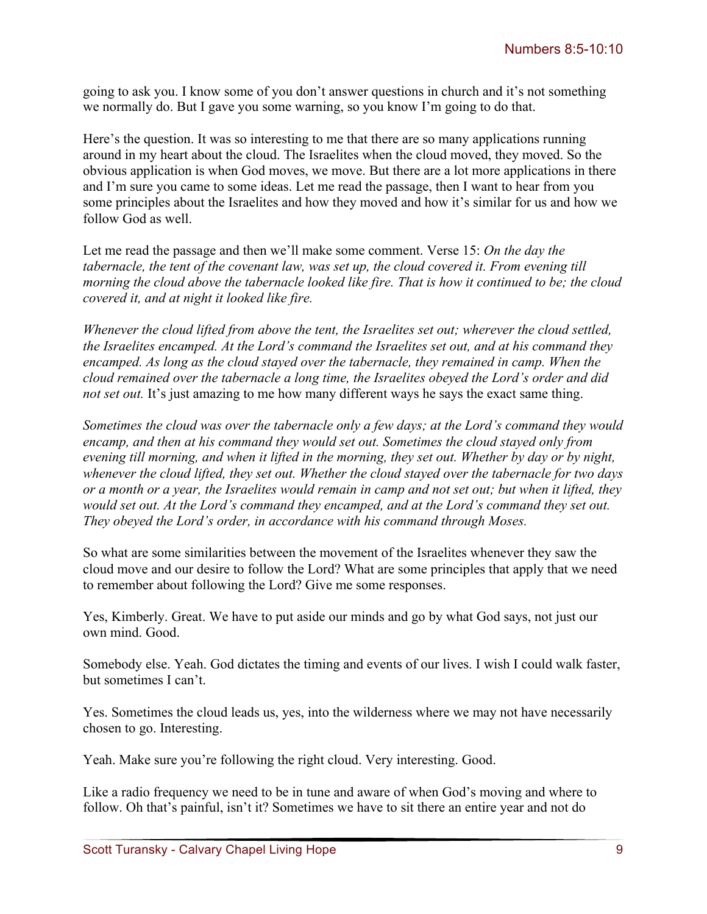going to ask you. I know some of you don't answer questions in church and it's not something we normally do. But I gave you some warning, so you know I'm going to do that.

Here's the question. It was so interesting to me that there are so many applications running around in my heart about the cloud. The Israelites when the cloud moved, they moved. So the obvious application is when God moves, we move. But there are a lot more applications in there and I'm sure you came to some ideas. Let me read the passage, then I want to hear from you some principles about the Israelites and how they moved and how it's similar for us and how we follow God as well.

Let me read the passage and then we'll make some comment. Verse 15: *On the day the tabernacle, the tent of the covenant law, was set up, the cloud covered it. From evening till morning the cloud above the tabernacle looked like fire. That is how it continued to be; the cloud covered it, and at night it looked like fire.* 

*Whenever the cloud lifted from above the tent, the Israelites set out; wherever the cloud settled, the Israelites encamped. At the Lord's command the Israelites set out, and at his command they encamped. As long as the cloud stayed over the tabernacle, they remained in camp. When the cloud remained over the tabernacle a long time, the Israelites obeyed the Lord's order and did not set out.* It's just amazing to me how many different ways he says the exact same thing.

*Sometimes the cloud was over the tabernacle only a few days; at the Lord's command they would encamp, and then at his command they would set out. Sometimes the cloud stayed only from evening till morning, and when it lifted in the morning, they set out. Whether by day or by night, whenever the cloud lifted, they set out. Whether the cloud stayed over the tabernacle for two days or a month or a year, the Israelites would remain in camp and not set out; but when it lifted, they would set out. At the Lord's command they encamped, and at the Lord's command they set out. They obeyed the Lord's order, in accordance with his command through Moses.*

So what are some similarities between the movement of the Israelites whenever they saw the cloud move and our desire to follow the Lord? What are some principles that apply that we need to remember about following the Lord? Give me some responses.

Yes, Kimberly. Great. We have to put aside our minds and go by what God says, not just our own mind. Good.

Somebody else. Yeah. God dictates the timing and events of our lives. I wish I could walk faster, but sometimes I can't.

Yes. Sometimes the cloud leads us, yes, into the wilderness where we may not have necessarily chosen to go. Interesting.

Yeah. Make sure you're following the right cloud. Very interesting. Good.

Like a radio frequency we need to be in tune and aware of when God's moving and where to follow. Oh that's painful, isn't it? Sometimes we have to sit there an entire year and not do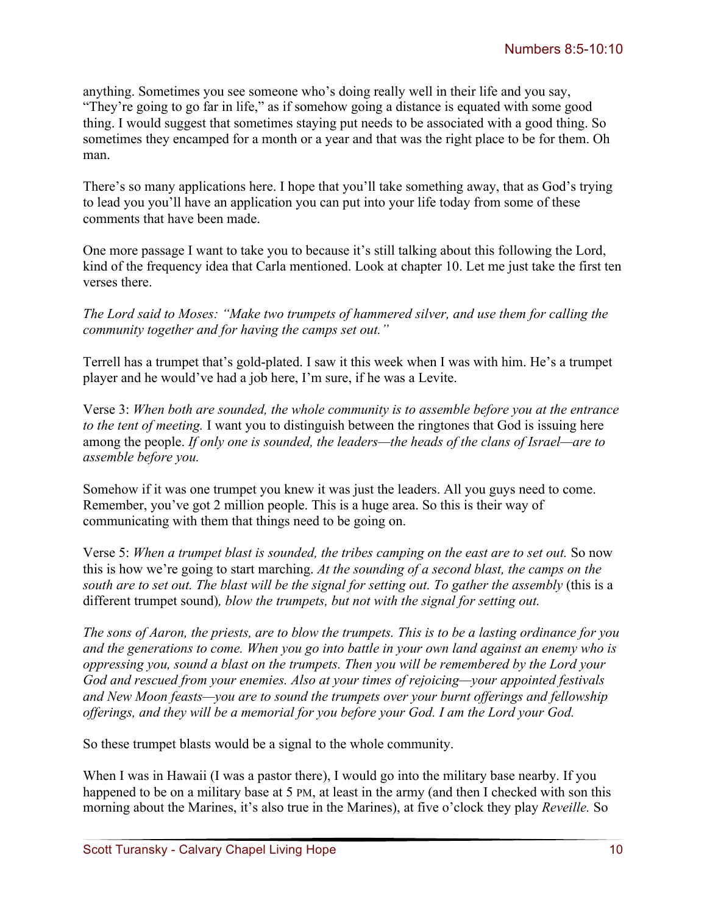anything. Sometimes you see someone who's doing really well in their life and you say, "They're going to go far in life," as if somehow going a distance is equated with some good thing. I would suggest that sometimes staying put needs to be associated with a good thing. So sometimes they encamped for a month or a year and that was the right place to be for them. Oh man.

There's so many applications here. I hope that you'll take something away, that as God's trying to lead you you'll have an application you can put into your life today from some of these comments that have been made.

One more passage I want to take you to because it's still talking about this following the Lord, kind of the frequency idea that Carla mentioned. Look at chapter 10. Let me just take the first ten verses there.

*The Lord said to Moses: "Make two trumpets of hammered silver, and use them for calling the community together and for having the camps set out."* 

Terrell has a trumpet that's gold-plated. I saw it this week when I was with him. He's a trumpet player and he would've had a job here, I'm sure, if he was a Levite.

Verse 3: *When both are sounded, the whole community is to assemble before you at the entrance to the tent of meeting.* I want you to distinguish between the ringtones that God is issuing here among the people. *If only one is sounded, the leaders—the heads of the clans of Israel—are to assemble before you.* 

Somehow if it was one trumpet you knew it was just the leaders. All you guys need to come. Remember, you've got 2 million people. This is a huge area. So this is their way of communicating with them that things need to be going on.

Verse 5: *When a trumpet blast is sounded, the tribes camping on the east are to set out.* So now this is how we're going to start marching. *At the sounding of a second blast, the camps on the*  south are to set out. The blast will be the signal for setting out. To gather the assembly (this is a different trumpet sound)*, blow the trumpets, but not with the signal for setting out.*

*The sons of Aaron, the priests, are to blow the trumpets. This is to be a lasting ordinance for you and the generations to come. When you go into battle in your own land against an enemy who is oppressing you, sound a blast on the trumpets. Then you will be remembered by the Lord your God and rescued from your enemies. Also at your times of rejoicing—your appointed festivals and New Moon feasts—you are to sound the trumpets over your burnt offerings and fellowship offerings, and they will be a memorial for you before your God. I am the Lord your God.* 

So these trumpet blasts would be a signal to the whole community.

When I was in Hawaii (I was a pastor there), I would go into the military base nearby. If you happened to be on a military base at 5 PM, at least in the army (and then I checked with son this morning about the Marines, it's also true in the Marines), at five o'clock they play *Reveille.* So